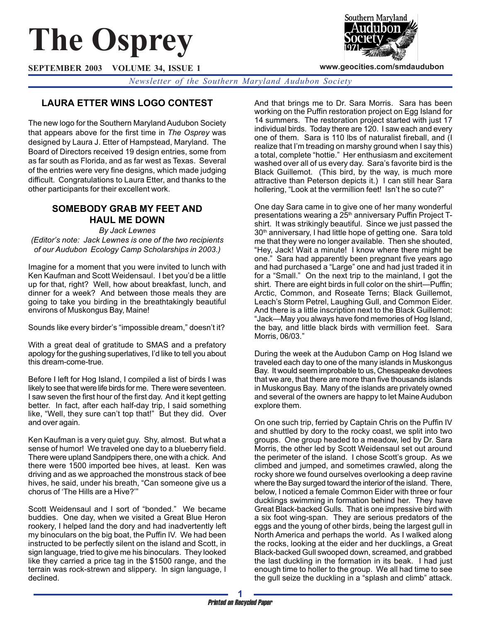# **The Osprey**

**SEPTEMBER 2003 VOLUME 34, ISSUE 1**

*Newsletter of the Southern Maryland Audubon Society*

# **LAURA ETTER WINS LOGO CONTEST**

The new logo for the Southern Maryland Audubon Society that appears above for the first time in *The Osprey* was designed by Laura J. Etter of Hampstead, Maryland. The Board of Directors received 19 design entries, some from as far south as Florida, and as far west as Texas. Several of the entries were very fine designs, which made judging difficult. Congratulations to Laura Etter, and thanks to the other participants for their excellent work.

# **SOMEBODY GRAB MY FEET AND HAUL ME DOWN**

*By Jack Lewnes (Editor's note: Jack Lewnes is one of the two recipients of our Audubon Ecology Camp Scholarships in 2003.)*

Imagine for a moment that you were invited to lunch with Ken Kaufman and Scott Weidensaul. I bet you'd be a little up for that, right? Well, how about breakfast, lunch, and dinner for a week? And between those meals they are going to take you birding in the breathtakingly beautiful environs of Muskongus Bay, Maine!

Sounds like every birder's "impossible dream," doesn't it?

With a great deal of gratitude to SMAS and a prefatory apology for the gushing superlatives, I'd like to tell you about this dream-come-true.

Before I left for Hog Island, I compiled a list of birds I was likely to see that were life birds for me. There were seventeen. I saw seven the first hour of the first day. And it kept getting better. In fact, after each half-day trip, I said something like, "Well, they sure can't top that!" But they did. Over and over again.

Ken Kaufman is a very quiet guy. Shy, almost. But what a sense of humor! We traveled one day to a blueberry field. There were upland Sandpipers there, one with a chick. And there were 1500 imported bee hives, at least. Ken was driving and as we approached the monstrous stack of bee hives, he said, under his breath, "Can someone give us a chorus of 'The Hills are a Hive?'"

Scott Weidensaul and I sort of "bonded." We became buddies. One day, when we visited a Great Blue Heron rookery, I helped land the dory and had inadvertently left my binoculars on the big boat, the Puffin IV. We had been instructed to be perfectly silent on the island and Scott, in sign language, tried to give me his binoculars. They looked like they carried a price tag in the \$1500 range, and the terrain was rock-strewn and slippery. In sign language, I declined.

And that brings me to Dr. Sara Morris. Sara has been working on the Puffin restoration project on Egg Island for 14 summers. The restoration project started with just 17 individual birds. Today there are 120. I saw each and every one of them. Sara is 110 lbs of naturalist fireball, and (I realize that I'm treading on marshy ground when I say this) a total, complete "hottie." Her enthusiasm and excitement washed over all of us every day. Sara's favorite bird is the Black Guillemot. (This bird, by the way, is much more attractive than Peterson depicts it.) I can still hear Sara hollering, "Look at the vermillion feet! Isn't he so cute?"

One day Sara came in to give one of her many wonderful presentations wearing a 25<sup>th</sup> anniversary Puffin Project Tshirt. It was strikingly beautiful. Since we just passed the 30<sup>th</sup> anniversary, I had little hope of getting one. Sara told me that they were no longer available. Then she shouted, "Hey, Jack! Wait a minute! I know where there might be one." Sara had apparently been pregnant five years ago and had purchased a "Large" one and had just traded it in for a "Small." On the next trip to the mainland, I got the shirt. There are eight birds in full color on the shirt—Puffin; Arctic, Common, and Roseate Terns; Black Guillemot, Leach's Storm Petrel, Laughing Gull, and Common Eider. And there is a little inscription next to the Black Guillemot: "Jack—May you always have fond memories of Hog Island, the bay, and little black birds with vermillion feet. Sara Morris, 06/03."

During the week at the Audubon Camp on Hog Island we traveled each day to one of the many islands in Muskongus Bay. It would seem improbable to us, Chesapeake devotees that we are, that there are more than five thousands islands in Muskongus Bay. Many of the islands are privately owned and several of the owners are happy to let Maine Audubon explore them.

On one such trip, ferried by Captain Chris on the Puffin IV and shuttled by dory to the rocky coast, we split into two groups. One group headed to a meadow, led by Dr. Sara Morris, the other led by Scott Weidensaul set out around the perimeter of the island. I chose Scott's group. As we climbed and jumped, and sometimes crawled, along the rocky shore we found ourselves overlooking a deep ravine where the Bay surged toward the interior of the island. There, below, I noticed a female Common Eider with three or four ducklings swimming in formation behind her. They have Great Black-backed Gulls. That is one impressive bird with a six foot wing-span. They are serious predators of the eggs and the young of other birds, being the largest gull in North America and perhaps the world. As I walked along the rocks, looking at the eider and her ducklings, a Great Black-backed Gull swooped down, screamed, and grabbed the last duckling in the formation in its beak. I had just enough time to holler to the group. We all had time to see the gull seize the duckling in a "splash and climb" attack.



**www.geocities.com/smdaudubon**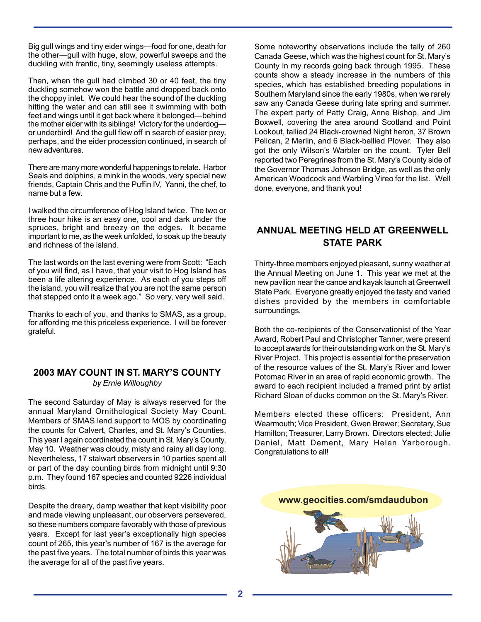Big gull wings and tiny eider wings—food for one, death for the other—gull with huge, slow, powerful sweeps and the duckling with frantic, tiny, seemingly useless attempts.

Then, when the gull had climbed 30 or 40 feet, the tiny duckling somehow won the battle and dropped back onto the choppy inlet. We could hear the sound of the duckling hitting the water and can still see it swimming with both feet and wings until it got back where it belonged—behind the mother eider with its siblings! Victory for the underdog or underbird! And the gull flew off in search of easier prey, perhaps, and the eider procession continued, in search of new adventures.

There are many more wonderful happenings to relate. Harbor Seals and dolphins, a mink in the woods, very special new friends, Captain Chris and the Puffin IV, Yanni, the chef, to name but a few.

I walked the circumference of Hog Island twice. The two or three hour hike is an easy one, cool and dark under the spruces, bright and breezy on the edges. It became important to me, as the week unfolded, to soak up the beauty and richness of the island.

The last words on the last evening were from Scott: "Each of you will find, as I have, that your visit to Hog Island has been a life altering experience. As each of you steps off the island, you will realize that you are not the same person that stepped onto it a week ago." So very, very well said.

Thanks to each of you, and thanks to SMAS, as a group, for affording me this priceless experience. I will be forever grateful.

#### **2003 MAY COUNT IN ST. MARY'S COUNTY** *by Ernie Willoughby*

The second Saturday of May is always reserved for the annual Maryland Ornithological Society May Count. Members of SMAS lend support to MOS by coordinating the counts for Calvert, Charles, and St. Mary's Counties. This year I again coordinated the count in St. Mary's County, May 10. Weather was cloudy, misty and rainy all day long. Nevertheless, 17 stalwart observers in 10 parties spent all or part of the day counting birds from midnight until 9:30 p.m. They found 167 species and counted 9226 individual birds.

Despite the dreary, damp weather that kept visibility poor and made viewing unpleasant, our observers persevered, so these numbers compare favorably with those of previous years. Except for last year's exceptionally high species count of 265, this year's number of 167 is the average for the past five years. The total number of birds this year was the average for all of the past five years.

Some noteworthy observations include the tally of 260 Canada Geese, which was the highest count for St. Mary's County in my records going back through 1995. These counts show a steady increase in the numbers of this species, which has established breeding populations in Southern Maryland since the early 1980s, when we rarely saw any Canada Geese during late spring and summer. The expert party of Patty Craig, Anne Bishop, and Jim Boxwell, covering the area around Scotland and Point Lookout, tallied 24 Black-crowned Night heron, 37 Brown Pelican, 2 Merlin, and 6 Black-bellied Plover. They also got the only Wilson's Warbler on the count. Tyler Bell reported two Peregrines from the St. Mary's County side of the Governor Thomas Johnson Bridge, as well as the only American Woodcock and Warbling Vireo for the list. Well done, everyone, and thank you!

# **ANNUAL MEETING HELD AT GREENWELL STATE PARK**

Thirty-three members enjoyed pleasant, sunny weather at the Annual Meeting on June 1. This year we met at the new pavilion near the canoe and kayak launch at Greenwell State Park. Everyone greatly enjoyed the tasty and varied dishes provided by the members in comfortable surroundings.

Both the co-recipients of the Conservationist of the Year Award, Robert Paul and Christopher Tanner, were present to accept awards for their outstanding work on the St. Mary's River Project. This project is essential for the preservation of the resource values of the St. Mary's River and lower Potomac River in an area of rapid economic growth. The award to each recipient included a framed print by artist Richard Sloan of ducks common on the St. Mary's River.

Members elected these officers: President, Ann Wearmouth; Vice President, Gwen Brewer; Secretary, Sue Hamilton; Treasurer, Larry Brown. Directors elected: Julie Daniel, Matt Dement, Mary Helen Yarborough. Congratulations to all!

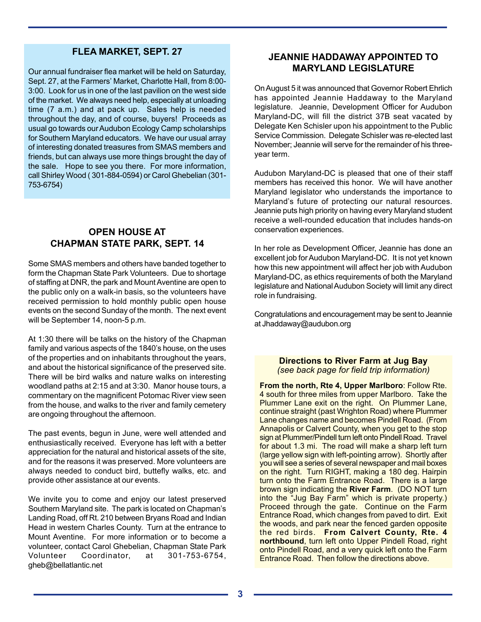## **FLEA MARKET, SEPT. 27**

Our annual fundraiser flea market will be held on Saturday, Sept. 27, at the Farmers' Market, Charlotte Hall, from 8:00- 3:00. Look for us in one of the last pavilion on the west side of the market. We always need help, especially at unloading time (7 a.m.) and at pack up. Sales help is needed throughout the day, and of course, buyers! Proceeds as usual go towards our Audubon Ecology Camp scholarships for Southern Maryland educators. We have our usual array of interesting donated treasures from SMAS members and friends, but can always use more things brought the day of the sale. Hope to see you there. For more information, call Shirley Wood ( 301-884-0594) or Carol Ghebelian (301- 753-6754)

## **OPEN HOUSE AT CHAPMAN STATE PARK, SEPT. 14**

Some SMAS members and others have banded together to form the Chapman State Park Volunteers. Due to shortage of staffing at DNR, the park and Mount Aventine are open to the public only on a walk-in basis, so the volunteers have received permission to hold monthly public open house events on the second Sunday of the month. The next event will be September 14, noon-5 p.m.

At 1:30 there will be talks on the history of the Chapman family and various aspects of the 1840's house, on the uses of the properties and on inhabitants throughout the years, and about the historical significance of the preserved site. There will be bird walks and nature walks on interesting woodland paths at 2:15 and at 3:30. Manor house tours, a commentary on the magnificent Potomac River view seen from the house, and walks to the river and family cemetery are ongoing throughout the afternoon.

The past events, begun in June, were well attended and enthusiastically received. Everyone has left with a better appreciation for the natural and historical assets of the site, and for the reasons it was preserved. More volunteers are always needed to conduct bird, buttefly walks, etc. and provide other assistance at our events.

We invite you to come and enjoy our latest preserved Southern Maryland site. The park is located on Chapman's Landing Road, off Rt. 210 between Bryans Road and Indian Head in western Charles County. Turn at the entrance to Mount Aventine. For more information or to become a volunteer, contact Carol Ghebelian, Chapman State Park Volunteer Coordinator, at 301-753-6754, gheb@bellatlantic.net

# **JEANNIE HADDAWAY APPOINTED TO MARYLAND LEGISLATURE**

On August 5 it was announced that Governor Robert Ehrlich has appointed Jeannie Haddaway to the Maryland legislature. Jeannie, Development Officer for Audubon Maryland-DC, will fill the district 37B seat vacated by Delegate Ken Schisler upon his appointment to the Public Service Commission. Delegate Schisler was re-elected last November; Jeannie will serve for the remainder of his threeyear term.

Audubon Maryland-DC is pleased that one of their staff members has received this honor. We will have another Maryland legislator who understands the importance to Maryland's future of protecting our natural resources. Jeannie puts high priority on having every Maryland student receive a well-rounded education that includes hands-on conservation experiences.

In her role as Development Officer, Jeannie has done an excellent job for Audubon Maryland-DC. It is not yet known how this new appointment will affect her job with Audubon Maryland-DC, as ethics requirements of both the Maryland legislature and National Audubon Society will limit any direct role in fundraising.

Congratulations and encouragement may be sent to Jeannie at Jhaddaway@audubon.org

#### **Directions to River Farm at Jug Bay** *(see back page for field trip information)*

**From the north, Rte 4, Upper Marlboro**: Follow Rte. 4 south for three miles from upper Marlboro. Take the Plummer Lane exit on the right. On Plummer Lane, continue straight (past Wrighton Road) where Plummer Lane changes name and becomes Pindell Road. (From Annapolis or Calvert County, when you get to the stop sign at Plummer/Pindell turn left onto Pindell Road. Travel for about 1.3 mi. The road will make a sharp left turn (large yellow sign with left-pointing arrow). Shortly after you will see a series of several newspaper and mail boxes on the right. Turn RIGHT, making a 180 deg. Hairpin turn onto the Farm Entrance Road. There is a large brown sign indicating the **River Farm**. (DO NOT turn into the "Jug Bay Farm" which is private property.) Proceed through the gate. Continue on the Farm Entrance Road, which changes from paved to dirt. Exit the woods, and park near the fenced garden opposite the red birds. **From Calvert County, Rte. 4 northbound**, turn left onto Upper Pindell Road, right onto Pindell Road, and a very quick left onto the Farm Entrance Road. Then follow the directions above.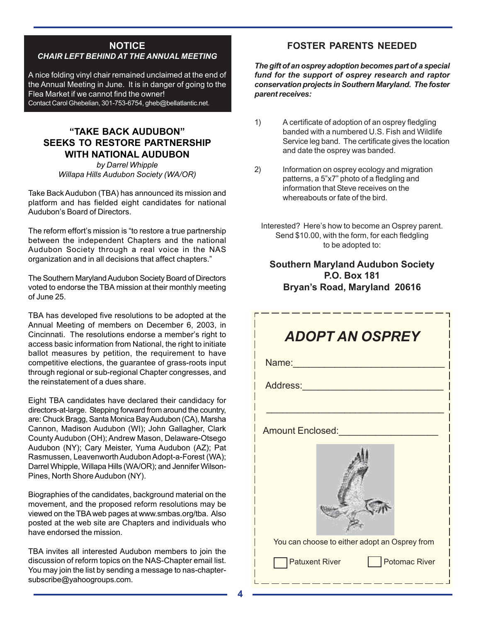## **NOTICE** *CHAIR LEFT BEHIND AT THE ANNUAL MEETING*

A nice folding vinyl chair remained unclaimed at the end of the Annual Meeting in June. It is in danger of going to the Flea Market if we cannot find the owner! Contact Carol Ghebelian, 301-753-6754, gheb@bellatlantic.net.

# **"TAKE BACK AUDUBON" SEEKS TO RESTORE PARTNERSHIP WITH NATIONAL AUDUBON**

*by Darrel Whipple Willapa Hills Audubon Society (WA/OR)*

Take Back Audubon (TBA) has announced its mission and platform and has fielded eight candidates for national Audubon's Board of Directors.

The reform effort's mission is "to restore a true partnership between the independent Chapters and the national Audubon Society through a real voice in the NAS organization and in all decisions that affect chapters."

The Southern Maryland Audubon Society Board of Directors voted to endorse the TBA mission at their monthly meeting of June 25.

TBA has developed five resolutions to be adopted at the Annual Meeting of members on December 6, 2003, in Cincinnati. The resolutions endorse a member's right to access basic information from National, the right to initiate ballot measures by petition, the requirement to have competitive elections, the guarantee of grass-roots input through regional or sub-regional Chapter congresses, and the reinstatement of a dues share.

Eight TBA candidates have declared their candidacy for directors-at-large. Stepping forward from around the country, are: Chuck Bragg, Santa Monica Bay Audubon (CA), Marsha Cannon, Madison Audubon (WI); John Gallagher, Clark County Audubon (OH); Andrew Mason, Delaware-Otsego Audubon (NY); Cary Meister, Yuma Audubon (AZ); Pat Rasmussen, Leavenworth Audubon Adopt-a-Forest (WA); Darrel Whipple, Willapa Hills (WA/OR); and Jennifer Wilson-Pines, North Shore Audubon (NY).

Biographies of the candidates, background material on the movement, and the proposed reform resolutions may be viewed on the TBA web pages at www.smbas.org/tba. Also posted at the web site are Chapters and individuals who have endorsed the mission.

TBA invites all interested Audubon members to join the discussion of reform topics on the NAS-Chapter email list. You may join the list by sending a message to nas-chaptersubscribe@yahoogroups.com.

# **FOSTER PARENTS NEEDED**

*The gift of an osprey adoption becomes part of a special fund for the support of osprey research and raptor conservation projects in Southern Maryland. The foster parent receives:*

- 1) A certificate of adoption of an osprey fledgling banded with a numbered U.S. Fish and Wildlife Service leg band. The certificate gives the location and date the osprey was banded.
- 2) Information on osprey ecology and migration patterns, a 5"x7" photo of a fledgling and information that Steve receives on the whereabouts or fate of the bird.
	- Interested? Here's how to become an Osprey parent. Send \$10.00, with the form, for each fledgling to be adopted to:

# **Southern Maryland Audubon Society P.O. Box 181 Bryan's Road, Maryland 20616**

| <b>ADOPT AN OSPREY</b>                        |  |  |  |  |  |  |
|-----------------------------------------------|--|--|--|--|--|--|
| Name:                                         |  |  |  |  |  |  |
| Address: 2001                                 |  |  |  |  |  |  |
|                                               |  |  |  |  |  |  |
| Amount Enclosed:                              |  |  |  |  |  |  |
|                                               |  |  |  |  |  |  |
| You can choose to either adopt an Osprey from |  |  |  |  |  |  |
| Potomac River<br>Patuxent River               |  |  |  |  |  |  |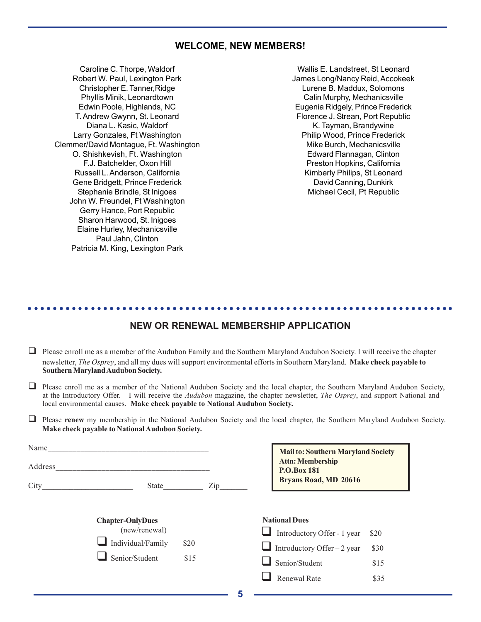### **WELCOME, NEW MEMBERS!**

Caroline C. Thorpe, Waldorf Robert W. Paul, Lexington Park Christopher E. Tanner,Ridge Phyllis Minik, Leonardtown Edwin Poole, Highlands, NC T. Andrew Gwynn, St. Leonard Diana L. Kasic, Waldorf Larry Gonzales, Ft Washington Clemmer/David Montague, Ft. Washington O. Shishkevish, Ft. Washington F.J. Batchelder, Oxon Hill Russell L. Anderson, California Gene Bridgett, Prince Frederick Stephanie Brindle, St Inigoes John W. Freundel, Ft Washington Gerry Hance, Port Republic Sharon Harwood, St. Inigoes Elaine Hurley, Mechanicsville Paul Jahn, Clinton Patricia M. King, Lexington Park

Wallis E. Landstreet, St Leonard James Long/Nancy Reid, Accokeek Lurene B. Maddux, Solomons Calin Murphy, Mechanicsville Eugenia Ridgely, Prince Frederick Florence J. Strean, Port Republic K. Tayman, Brandywine Philip Wood, Prince Frederick Mike Burch, Mechanicsville Edward Flannagan, Clinton Preston Hopkins, California Kimberly Philips, St Leonard David Canning, Dunkirk Michael Cecil, Pt Republic

## **NEW OR RENEWAL MEMBERSHIP APPLICATION**

○○○○○○○○○○○○○○○○○○○○○○○○○○○○○○○○○○○○○○○○○○○○○ ○○○○○○○○○○○○○○○○○○○○○○○

- $\Box$  Please enroll me as a member of the Audubon Family and the Southern Maryland Audubon Society. I will receive the chapter newsletter, *The Osprey*, and all my dues will support environmental efforts in Southern Maryland. **Make check payable to Southern Maryland Audubon Society.**
- $\Box$  Please enroll me as a member of the National Audubon Society and the local chapter, the Southern Maryland Audubon Society, at the Introductory Offer.I will receive the *Audubon* magazine, the chapter newsletter, *The Osprey*, and support National and local environmental causes. **Make check payable to National Audubon Society.**
- **Please renew** my membership in the National Audubon Society and the local chapter, the Southern Maryland Audubon Society. **Make check payable to National Audubon Society.**

| Name<br>Address |                         |      |     | <b>Mail to: Southern Maryland Society</b><br><b>Attn: Membership</b><br>P.O.Box 181 |      |
|-----------------|-------------------------|------|-----|-------------------------------------------------------------------------------------|------|
| City            | State                   |      | Zip | <b>Bryans Road, MD 20616</b>                                                        |      |
|                 | <b>Chapter-OnlyDues</b> |      |     | <b>National Dues</b>                                                                |      |
|                 | (new/renewal)           |      |     | Introductory Offer - 1 year                                                         | \$20 |
|                 | Individual/Family       | \$20 |     | $\Box$ Introductory Offer – 2 year                                                  | \$30 |
|                 | Senior/Student          | \$15 |     | Senior/Student                                                                      | \$15 |
|                 |                         |      |     | Renewal Rate                                                                        | \$35 |